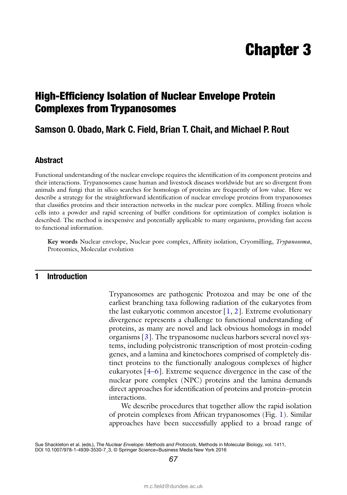# Chapter 3

# High-Efficiency Isolation of Nuclear Envelope Protein Complexes from Trypanosomes

## **Samson O. Obado, Mark C. Field, Brian T. Chait, and Michael P. Rout**

### **Abstract**

Functional understanding of the nuclear envelope requires the identification of its component proteins and their interactions. Trypanosomes cause human and livestock diseases worldwide but are so divergent from animals and fungi that in silico searches for homologs of proteins are frequently of low value. Here we describe a strategy for the straightforward identification of nuclear envelope proteins from trypanosomes that classifies proteins and their interaction networks in the nuclear pore complex. Milling frozen whole cells into a powder and rapid screening of buffer conditions for optimization of complex isolation is described. The method is inexpensive and potentially applicable to many organisms, providing fast access to functional information.

Key words Nuclear envelope, Nuclear pore complex, Affinity isolation, Cryomilling, *Trypanosoma*, Proteomics, Molecular evolution

### **1 Introduction**

Trypanosomes are pathogenic Protozoa and may be one of the earliest branching taxa following radiation of the eukaryotes from the last eukaryotic common ancestor  $[1, 2]$ . Extreme evolutionary divergence represents a challenge to functional understanding of proteins, as many are novel and lack obvious homologs in model organisms [ 3]. The trypanosome nucleus harbors several novel systems, including polycistronic transcription of most protein-coding genes, and a lamina and kinetochores comprised of completely distinct proteins to the functionally analogous complexes of higher eukaryotes  $[4-6]$ . Extreme sequence divergence in the case of the nuclear pore complex (NPC) proteins and the lamina demands direct approaches for identification of proteins and protein–protein interactions.

We describe procedures that together allow the rapid isolation of protein complexes from African trypanosomes (Fig. 1). Similar approaches have been successfully applied to a broad range of

*67*

Sue Shackleton et al. (eds.), *The Nuclear Envelope: Methods and Protocols*, Methods in Molecular Biology, vol. 1411, DOI 10.1007/978-1-4939-3530-7\_3, © Springer Science+Business Media New York 2016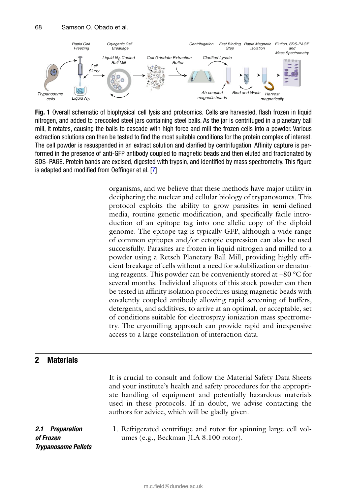

**Fig. 1** Overall schematic of biophysical cell lysis and proteomics. Cells are harvested, flash frozen in liquid nitrogen, and added to precooled steel jars containing steel balls. As the jar is centrifuged in a planetary ball mill, it rotates, causing the balls to cascade with high force and mill the frozen cells into a powder. Various extraction solutions can then be tested to find the most suitable conditions for the protein complex of interest. The cell powder is resuspended in an extract solution and clarified by centrifugation. Affinity capture is performed in the presence of anti-GFP antibody coupled to magnetic beads and then eluted and fractionated by SDS–PAGE. Protein bands are excised, digested with trypsin, and identified by mass spectrometry. This figure is adapted and modified from Oeffinger et al. [7]

organisms, and we believe that these methods have major utility in deciphering the nuclear and cellular biology of trypanosomes. This protocol exploits the ability to grow parasites in semi-defined media, routine genetic modification, and specifically facile introduction of an epitope tag into one allelic copy of the diploid genome. The epitope tag is typically GFP, although a wide range of common epitopes and/or ectopic expression can also be used successfully. Parasites are frozen in liquid nitrogen and milled to a powder using a Retsch Planetary Ball Mill, providing highly efficient breakage of cells without a need for solubilization or denaturing reagents. This powder can be conveniently stored at −80 °C for several months. Individual aliquots of this stock powder can then be tested in affinity isolation procedures using magnetic beads with covalently coupled antibody allowing rapid screening of buffers, detergents, and additives, to arrive at an optimal, or acceptable, set of conditions suitable for electrospray ionization mass spectrometry. The cryomilling approach can provide rapid and inexpensive access to a large constellation of interaction data.

### **2 Materials**

It is crucial to consult and follow the Material Safety Data Sheets and your institute's health and safety procedures for the appropriate handling of equipment and potentially hazardous materials used in these protocols. If in doubt, we advise contacting the authors for advice, which will be gladly given.

*2.1 Preparation of Frozen Trypanosome Pellets*  1. Refrigerated centrifuge and rotor for spinning large cell volumes (e.g., Beckman JLA 8.100 rotor).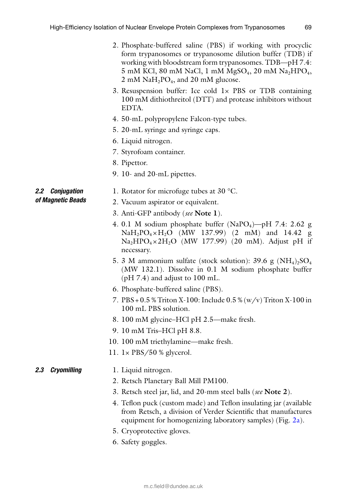- 2. Phosphate-buffered saline (PBS) if working with procyclic form trypanosomes or trypanosome dilution buffer (TDB) if working with bloodstream form trypanosomes. TDB—pH 7.4:  $5 \text{ mM KCl}, 80 \text{ mM NaCl}, 1 \text{ mM MgSO}_4, 20 \text{ mM Na}_2\text{HPO}_4,$  $2 \text{ mM } \text{NaH}_2\text{PO}_4$ , and  $20 \text{ mM }$  glucose.
- 3. Resuspension buffer: Ice cold  $1 \times$  PBS or TDB containing 100 mM dithiothreitol (DTT) and protease inhibitors without EDTA.
- 4. 50-mL polypropylene Falcon-type tubes.
- 5. 20-mL syringe and syringe caps.
- 6. Liquid nitrogen.
- 7. Styrofoam container.
- 8. Pipettor.
- 9. 10- and 20-mL pipettes.

### *2.2 Conjugation of Magnetic Beads*

- 1. Rotator for microfuge tubes at 30 °C.
- 2. Vacuum aspirator or equivalent.
- 3. Anti-GFP antibody( *see* **Note 1**).
- 4. 0.1 M sodium phosphate buffer (NaPO<sub>4</sub>)—pH 7.4: 2.62 g  $NaH_2PO_4 \times H_2O$  (MW 137.99) (2 mM) and 14.42 g  $Na<sub>2</sub>HPO<sub>4</sub> × 2H<sub>2</sub>O$  (MW 177.99) (20 mM). Adjust pH if necessary.
- 5. 3 M ammonium sulfate (stock solution):  $39.6 \text{ g } (\text{NH}_4)_2\text{SO}_4$ (MW 132.1). Dissolve in 0.1 M sodium phosphate buffer (pH 7.4) and adjust to 100 mL.
- 6. Phosphate-buffered saline (PBS).
- 7. PBS + 0.5 % Triton X-100: Include 0.5 % (w/v) Triton X-100 in 100 mL PBS solution.
- 8. 100 mM glycine–HCl pH 2.5—make fresh.
- 9. 10 mM Tris–HCl pH 8.8.
- 10. 100 mM triethylamine—make fresh.
- 11.  $1 \times$  PBS/50 % glycerol.

#### 1. Liquid nitrogen. *2.3 Cryomilling*

- 2. Retsch Planetary Ball Mill PM100.
- 3. Retsch steel jar, lid, and 20-mm steel balls ( *see* **Note 2**).
- 4. Teflon puck (custom made) and Teflon insulating jar (available from Retsch, a division of Verder Scientific that manufactures equipment for homogenizing laboratory samples) (Fig. 2a).
- 5. Cryoprotective gloves.
- 6. Safety goggles.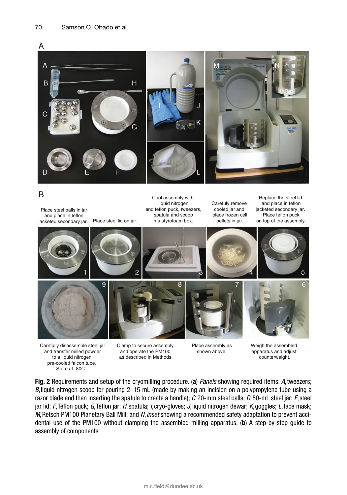

### B

Place steel balls in jar and place in teflon jacketed secondary jar. Place steel lid on jar.

Cool assembly with liquid nitrogen and teflon puck, tweezers, spatula and scoop in a styrofoam box.

Carefuly remove cooled jar and place frozen cell pellets in jar.

Replace the steel lid and place in teflon jacketed secondary jar. Place teflon puck on top of the assembly.



Carefully disassemble steel jar and transfer milled powder to a liquid nitrogen pre-cooled falcon tube. Store at -80C .

Clamp to secure assembly and operate the PM100 as described in Methods.

Place assembly as shown above.

Weigh the assembled apparatus and adjust counterweight.

 **Fig. 2** Requirements and setup of the cryomilling procedure. ( **a** ) *Panels* showing required items: *A* , tweezers; *B* , liquid nitrogen scoop for pouring 2–15 mL (made by making an incision on a polypropylene tube using a razor blade and then inserting the spatula to create a handle); *C* , 20-mm steel balls; *D* , 50-mL steel jar; *E* , steel jar lid; *F*, Teflon puck; *G*, Teflon jar; *H*, spatula; *I*, cryo-gloves; *J*, liquid nitrogen dewar; *K*, goggles; *L*, face mask; *M*, Retsch PM100 Planetary Ball Mill; and *N*, *inset* showing a recommended safety adaptation to prevent accidental use of the PM100 without clamping the assembled milling apparatus. ( **b** ) A step-by-step guide to assembly of components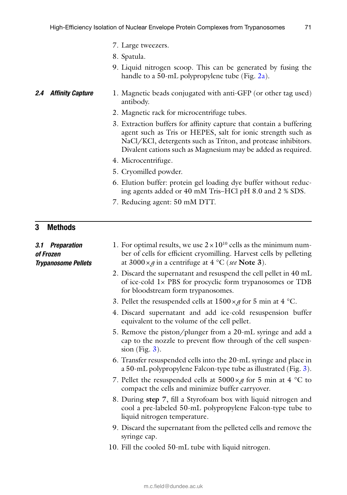- 7. Large tweezers.
- 8. Spatula.
- 9. Liquid nitrogen scoop. This can be generated by fusing the handle to a 50-mL polypropylene tube (Fig. 2a).

#### 1. Magnetic beads conjugated with anti-GFP (or other tag used) antibody. **2.4 Affinity Capture**

- 2. Magnetic rack for microcentrifuge tubes.
- 3. Extraction buffers for affinity capture that contain a buffering agent such as Tris or HEPES, salt for ionic strength such as NaCl/KCl, detergents such as Triton, and protease inhibitors. Divalent cations such as Magnesium may be added as required.
- 4. Microcentrifuge.
- 5. Cryomilled powder.
- 6. Elution buffer: protein gel loading dye buffer without reducing agents added or 40 mM Tris–HCl pH 8.0 and 2 % SDS.
- 7. Reducing agent: 50 mM DTT.

### **3 Methods**

| 3.1 Preparation<br>of Frozen<br><b>Trypanosome Pellets</b> | 1. For optimal results, we use $2 \times 10^{10}$ cells as the minimum num-<br>ber of cells for efficient cryomilling. Harvest cells by pelleting<br>at 3000 $\times g$ in a centrifuge at 4 °C (see Note 3). |
|------------------------------------------------------------|---------------------------------------------------------------------------------------------------------------------------------------------------------------------------------------------------------------|
|                                                            | 2. Discard the supernatant and resuspend the cell pellet in 40 mL<br>of ice-cold 1x PBS for procyclic form trypanosomes or TDB<br>for bloodstream form trypanosomes.                                          |
|                                                            | 3. Pellet the resuspended cells at $1500 \times g$ for 5 min at 4 °C.                                                                                                                                         |
|                                                            | 4. Discard supernatant and add ice-cold resuspension buffer<br>equivalent to the volume of the cell pellet.                                                                                                   |
|                                                            | 5. Remove the piston/plunger from a 20-mL syringe and add a<br>cap to the nozzle to prevent flow through of the cell suspen-<br>sion (Fig. $3$ ).                                                             |
|                                                            | 6. Transfer resuspended cells into the 20-mL syringe and place in<br>a 50-mL polypropylene Falcon-type tube as illustrated (Fig. 3).                                                                          |
|                                                            | 7. Pellet the resuspended cells at $5000 \times g$ for 5 min at 4 °C to<br>compact the cells and minimize buffer carryover.                                                                                   |
|                                                            | 8. During step 7, fill a Styrofoam box with liquid nitrogen and<br>cool a pre-labeled 50-mL polypropylene Falcon-type tube to<br>liquid nitrogen temperature.                                                 |
|                                                            | 9. Discard the supernatant from the pelleted cells and remove the<br>syringe cap.                                                                                                                             |
|                                                            | 10. Fill the cooled 50-mL tube with liquid nitrogen.                                                                                                                                                          |
|                                                            |                                                                                                                                                                                                               |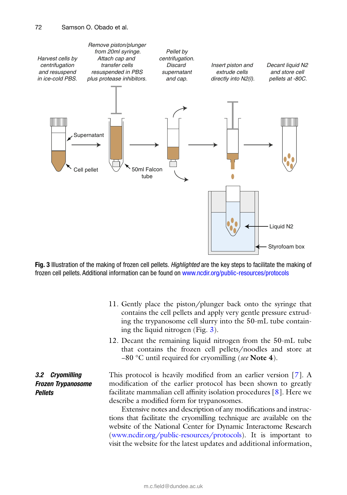

 **Fig. 3** Illustration of the making of frozen cell pellets. *Highlighted* are the key steps to facilitate the making of frozen cell pellets. Additional information can be found on www.ncdir.org/public-resources/protocols

- 11. Gently place the piston/plunger back onto the syringe that contains the cell pellets and apply very gentle pressure extruding the trypanosome cell slurry into the 50-mL tube containing the liquid nitrogen (Fig. 3).
- 12. Decant the remaining liquid nitrogen from the 50-mL tube that contains the frozen cell pellets/noodles and store at −80 °C until required for cryomilling( *see* **Note 4**).

*3.2 Cryomilling Frozen Trypanosome Pellets*

This protocol is heavily modified from an earlier version  $[7]$ . A modification of the earlier protocol has been shown to greatly facilitate mammalian cell affinity isolation procedures  $[8]$ . Here we describe a modified form for trypanosomes.

Extensive notes and description of any modifications and instructions that facilitate the cryomilling technique are available on the website of the National Center for Dynamic Interactome Research ( www.ncdir.org/public-resources/protocols ). It is important to visit the website for the latest updates and additional information,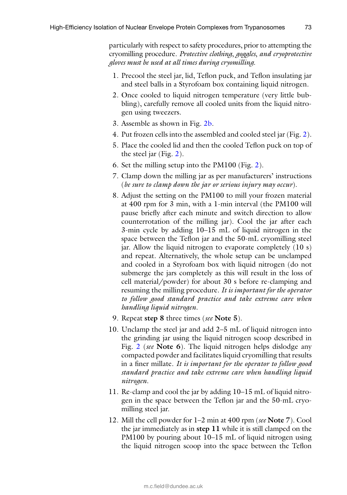particularly with respect to safety procedures, prior to attempting the cryomilling procedure. *Protective clothing*, *goggles*, *and cryoprotective gloves must be used at all times during cryomilling.*

- 1. Precool the steel jar, lid, Teflon puck, and Teflon insulating jar and steel balls in a Styrofoam box containing liquid nitrogen.
- 2. Once cooled to liquid nitrogen temperature (very little bubbling), carefully remove all cooled units from the liquid nitrogen using tweezers.
- 3. Assemble as shown in Fig. 2b.
- 4. Put frozen cells into the assembled and cooled steel jar (Fig. 2).
- 5. Place the cooled lid and then the cooled Teflon puck on top of the steel jar (Fig. 2).
- 6. Set the milling setup into the PM100 (Fig. 2).
- 7. Clamp down the milling jar as per manufacturers' instructions ( *be sure to clamp down the jar or serious injury may occur*).
- 8. Adjust the setting on the PM100 to mill your frozen material at 400 rpm for 3 min, with a 1-min interval (the PM100 will pause briefly after each minute and switch direction to allow counterrotation of the milling jar). Cool the jar after each 3-min cycle by adding 10–15 mL of liquid nitrogen in the space between the Teflon jar and the 50-mL cryomilling steel jar. Allow the liquid nitrogen to evaporate completely (10 s) and repeat. Alternatively, the whole setup can be unclamped and cooled in a Styrofoam box with liquid nitrogen (do not submerge the jars completely as this will result in the loss of cell material/powder) for about 30 s before re-clamping and resuming the milling procedure. *It is important for the operator to follow good standard practice and take extreme care when handling liquid nitrogen*.
- 9. Repeat **step 8** three times ( *see* **Note 5**).
- 10. Unclamp the steel jar and add 2–5 mL of liquid nitrogen into the grinding jar using the liquid nitrogen scoop described in Fig. 2 ( *see* **Note 6**). The liquid nitrogen helps dislodge any compacted powder and facilitates liquid cryomilling that results in a finer millate. *It is important for the operator to follow good standard practice and take extreme care when handling liquid nitrogen*.
- 11. Re-clamp and cool the jar by adding 10–15 mL of liquid nitrogen in the space between the Teflon jar and the 50-mL cryomilling steel jar.
- 12. Mill the cell powder for 1–2 min at 400 rpm ( *see* **Note 7**). Cool the jar immediately as in **step 11** while it is still clamped on the PM100 by pouring about 10–15 mL of liquid nitrogen using the liquid nitrogen scoop into the space between the Teflon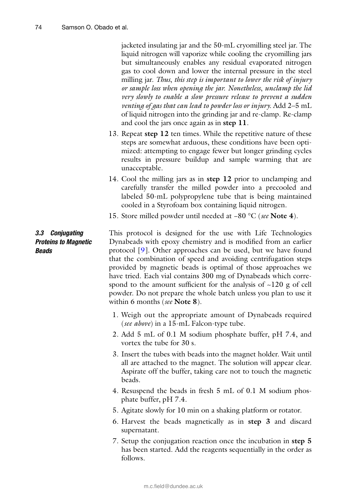jacketed insulating jar and the 50-mL cryomilling steel jar. The liquid nitrogen will vaporize while cooling the cryomilling jars but simultaneously enables any residual evaporated nitrogen gas to cool down and lower the internal pressure in the steel milling jar. *Thus*, *this step is important to lower the risk of injury or sample loss when opening the jar. Nonetheless*, *unclamp the lid very slowly to enable a slow pressure release to prevent a sudden venting of gas that can lead to powder loss or injury.* Add 2–5 mL of liquid nitrogen into the grinding jar and re-clamp. Re-clamp and cool the jars once again as in **step 11**.

- 13. Repeat **step 12** ten times. While the repetitive nature of these steps are somewhat arduous, these conditions have been optimized: attempting to engage fewer but longer grinding cycles results in pressure buildup and sample warming that are unacceptable.
- 14. Cool the milling jars as in **step 12** prior to unclamping and carefully transfer the milled powder into a precooled and labeled 50-mL polypropylene tube that is being maintained cooled in a Styrofoam box containing liquid nitrogen.
- 15. Store milled powder until needed at −80 °C ( *see* **Note 4**).

### *3.3 Conjugating Proteins to Magnetic Beads*

This protocol is designed for the use with Life Technologies Dynabeads with epoxy chemistry and is modified from an earlier protocol  $[9]$ . Other approaches can be used, but we have found that the combination of speed and avoiding centrifugation steps provided by magnetic beads is optimal of those approaches we have tried. Each vial contains 300 mg of Dynabeads which correspond to the amount sufficient for the analysis of  $\sim$ 120 g of cell powder. Do not prepare the whole batch unless you plan to use it within 6 months ( *see* **Note 8**).

- 1. Weigh out the appropriate amount of Dynabeads required ( *see above*) in a 15-mL Falcon-type tube.
- 2. Add 5 mL of 0.1 M sodium phosphate buffer, pH 7.4, and vortex the tube for 30 s.
- 3. Insert the tubes with beads into the magnet holder. Wait until all are attached to the magnet. The solution will appear clear. Aspirate off the buffer, taking care not to touch the magnetic beads.
- 4. Resuspend the beads in fresh 5 mL of 0.1 M sodium phosphate buffer, pH 7.4.
- 5. Agitate slowly for 10 min on a shaking platform or rotator.
- 6. Harvest the beads magnetically as in **step 3** and discard supernatant.
- 7. Setup the conjugation reaction once the incubation in **step 5** has been started. Add the reagents sequentially in the order as follows.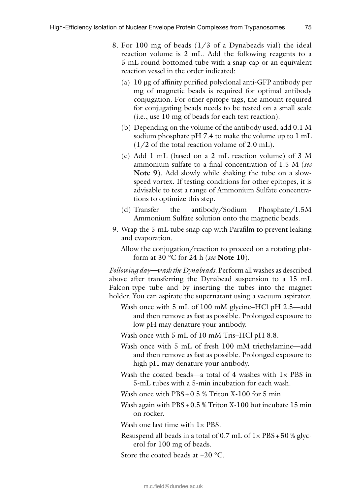- 8. For 100 mg of beads (1/3 of a Dynabeads vial) the ideal reaction volume is 2 mL. Add the following reagents to a 5-mL round bottomed tube with a snap cap or an equivalent reaction vessel in the order indicated:
	- (a)  $10 \mu$ g of affinity purified polyclonal anti-GFP antibody per mg of magnetic beads is required for optimal antibody conjugation. For other epitope tags, the amount required for conjugating beads needs to be tested on a small scale (i.e., use 10 mg of beads for each test reaction).
	- (b) Depending on the volume of the antibody used, add 0.1 M sodium phosphate pH 7.4 to make the volume up to 1 mL  $(1/2 \text{ of the total reaction volume of } 2.0 \text{ mL}).$
	- (c) Add 1 mL (based on a 2 mL reaction volume) of 3 M ammonium sulfate to a final concentration of 1.5 M (see **Note 9**). Add slowly while shaking the tube on a slowspeed vortex. If testing conditions for other epitopes, it is advisable to test a range of Ammonium Sulfate concentrations to optimize this step.
	- (d) Transfer the antibody/Sodium Phosphate/1.5M Ammonium Sulfate solution onto the magnetic beads.
- 9. Wrap the 5-mL tube snap cap with Parafilm to prevent leaking and evaporation.

Allow the conjugation/reaction to proceed on a rotating platform at 30 °C for 24 h ( *see* **Note 10**).

*Following day—wash the Dynabeads.* Perform all washes as described above after transferring the Dynabead suspension to a 15 mL Falcon-type tube and by inserting the tubes into the magnet holder. You can aspirate the supernatant using a vacuum aspirator.

- Wash once with 5 mL of 100 mM glycine–HCl pH 2.5—add and then remove as fast as possible. Prolonged exposure to low pH may denature your antibody.
- Wash once with 5 mL of 10 mM Tris–HCl pH 8.8.
- Wash once with 5 mL of fresh 100 mM triethylamine—add and then remove as fast as possible. Prolonged exposure to high pH may denature your antibody.
- Wash the coated beads—a total of 4 washes with  $1 \times PBS$  in 5-mL tubes with a 5-min incubation for each wash.
- Wash once with PBS + 0.5 % Triton X-100 for 5 min.
- Wash again with PBS + 0.5 % Triton X-100 but incubate 15 min on rocker.

Wash one last time with  $1 \times$  PBS.

Resuspend all beads in a total of  $0.7$  mL of  $1 \times PBS + 50$  % glycerol for 100 mg of beads.

Store the coated beads at −20 °C.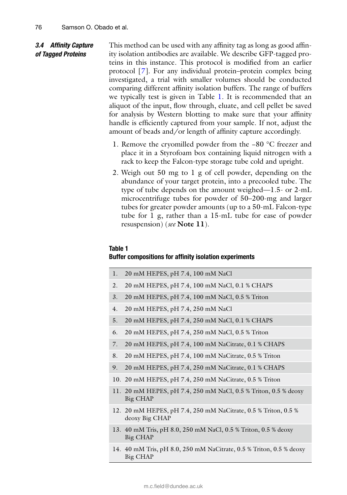### 3.4 Affinity Capture *of Tagged Proteins*

This method can be used with any affinity tag as long as good affinity isolation antibodies are available. We describe GFP-tagged proteins in this instance. This protocol is modified from an earlier protocol [ 7]. For any individual protein–protein complex being investigated, a trial with smaller volumes should be conducted comparing different affinity isolation buffers. The range of buffers we typically test is given in Table 1. It is recommended that an aliquot of the input, flow through, eluate, and cell pellet be saved for analysis by Western blotting to make sure that your affinity handle is efficiently captured from your sample. If not, adjust the amount of beads and/or length of affinity capture accordingly.

- 1. Remove the cryomilled powder from the −80 °C freezer and place it in a Styrofoam box containing liquid nitrogen with a rack to keep the Falcon-type storage tube cold and upright.
- 2. Weigh out 50 mg to 1 g of cell powder, depending on the abundance of your target protein, into a precooled tube. The type of tube depends on the amount weighed—1.5- or 2-mL microcentrifuge tubes for powder of 50–200-mg and larger tubes for greater powder amounts (up to a 50-mL Falcon-type tube for 1 g, rather than a 15-mL tube for ease of powder resuspension) ( *see* **Note 11**).

### **Table 1**

### **Buffer compositions for affinity isolation experiments**

| 1. | 20 mM HEPES, pH 7.4, 100 mM NaCl                                                 |
|----|----------------------------------------------------------------------------------|
| 2. | 20 mM HEPES, pH 7.4, 100 mM NaCl, 0.1 % CHAPS                                    |
| 3. | 20 mM HEPES, pH 7.4, 100 mM NaCl, 0.5 % Triton                                   |
| 4. | 20 mM HEPES, pH 7.4, 250 mM NaCl                                                 |
| 5. | 20 mM HEPES, pH 7.4, 250 mM NaCl, 0.1 % CHAPS                                    |
| 6. | 20 mM HEPES, pH 7.4, 250 mM NaCl, 0.5 % Triton                                   |
| 7. | 20 mM HEPES, pH 7.4, 100 mM NaCitrate, 0.1 % CHAPS                               |
| 8. | 20 mM HEPES, pH 7.4, 100 mM NaCitrate, 0.5 % Triton                              |
| 9. | 20 mM HEPES, pH 7.4, 250 mM NaCitrate, 0.1 % CHAPS                               |
|    | 10. 20 mM HEPES, pH 7.4, 250 mM NaCitrate, 0.5 % Triton                          |
|    | 11. 20 mM HEPES, pH 7.4, 250 mM NaCl, 0.5 % Triton, 0.5 % deoxy<br>Big CHAP      |
|    | 12. 20 mM HEPES, pH 7.4, 250 mM NaCitrate, 0.5 % Triton, 0.5 %<br>deoxy Big CHAP |
|    | 13. 40 mM Tris, pH 8.0, 250 mM NaCl, 0.5 % Triton, 0.5 % deoxy<br>Big CHAP       |
|    | 14. 40 mM Tris, pH 8.0, 250 mM NaCitrate, 0.5 % Triton, 0.5 % deoxy<br>Big CHAP  |

#### m.c.field@dundee.ac.uk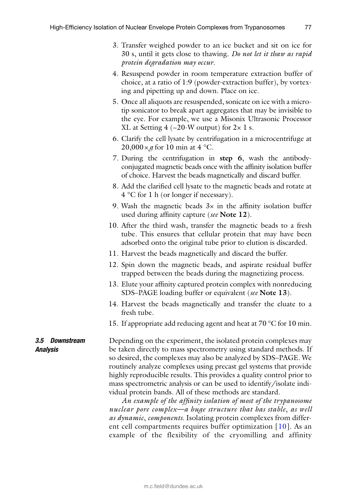- 3. Transfer weighed powder to an ice bucket and sit on ice for 30 s, until it gets close to thawing. *Do not let it thaw as rapid protein degradation may occur*.
- 4. Resuspend powder in room temperature extraction buffer of choice, at a ratio of 1:9 (powder-extraction buffer), by vortexing and pipetting up and down. Place on ice.
- 5. Once all aliquots are resuspended, sonicate on ice with a microtip sonicator to break apart aggregates that may be invisible to the eye. For example, we use a Misonix Ultrasonic Processor XL at Setting 4 ( $\sim$ 20-W output) for 2 $\times$  1 s.
- 6. Clarify the cell lysate by centrifugation in a microcentrifuge at  $20,000 \times g$  for 10 min at 4 °C.
- 7. During the centrifugation in **step 6**, wash the antibody conjugated magnetic beads once with the affinity isolation buffer of choice. Harvest the beads magnetically and discard buffer.
- 8. Add the clarified cell lysate to the magnetic beads and rotate at 4 °C for 1 h (or longer if necessary).
- 9. Wash the magnetic beads  $3x$  in the affinity isolation buffer used during affinity capture (see **Note 12**).
- 10. After the third wash, transfer the magnetic beads to a fresh tube. This ensures that cellular protein that may have been adsorbed onto the original tube prior to elution is discarded.
- 11. Harvest the beads magnetically and discard the buffer.
- 12. Spin down the magnetic beads, and aspirate residual buffer trapped between the beads during the magnetizing process.
- 13. Elute your affinity captured protein complex with nonreducing SDS–PAGEloading buffer or equivalent ( *see* **Note 13**).
- 14. Harvest the beads magnetically and transfer the eluate to a fresh tube.
- 15. If appropriate add reducing agent and heat at 70 °C for 10 min.

*3.5 Downstream Analysis*

Depending on the experiment, the isolated protein complexes may be taken directly to mass spectrometry using standard methods. If so desired, the complexes may also be analyzed by SDS–PAGE . We routinely analyze complexes using precast gel systems that provide highly reproducible results. This provides a quality control prior to mass spectrometric analysis or can be used to identify/isolate individual protein bands. All of these methods are standard.

*An example of the affi nity isolation of most of the trypanosome nuclear pore complex—a huge structure that has stable*, *as well as dynamic*, *components.* Isolating protein complexes from different cell compartments requires buffer optimization  $[10]$ . As an example of the flexibility of the cryomilling and affinity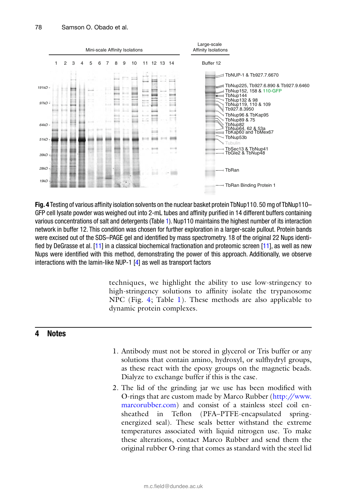

**Fig. 4** Testing of various affinity isolation solvents on the nuclear basket protein TbNup110. 50 mg of TbNup110– GFP cell lysate powder was weighed out into 2-mL tubes and affinity purified in 14 different buffers containing various concentrations of salt and detergents (Table 1). Nup110 maintains the highest number of its interaction network in buffer 12. This condition was chosen for further exploration in a larger-scale pullout. Protein bands were excised out of the SDS–PAGE gel and identified by mass spectrometry. 18 of the original 22 Nups identified by DeGrasse et al. [11] in a classical biochemical fractionation and proteomic screen [11], as well as new Nups were identified with this method, demonstrating the power of this approach. Additionally, we observe interactions with the lamin-like NUP-1 [4] as well as transport factors

> techniques, we highlight the ability to use low-stringency to high-stringency solutions to affinity isolate the trypanosome NPC (Fig. 4; Table 1). These methods are also applicable to dynamic protein complexes.

### **4 Notes**

- 1. Antibodymust not be stored in glycerol or Tris buffer or any solutions that contain amino, hydroxyl, or sulfhydryl groups, as these react with the epoxy groups on the magnetic beads. Dialyze to exchange buffer if this is the case.
- 2. The lid of the grinding jar we use has been modified with O-rings that are custom made by Marco Rubber (http://www. marcorubber.com) and consist of a stainless steel coil ensheathed in Teflon (PFA–PTFE-encapsulated springenergized seal). These seals better withstand the extreme temperatures associated with liquid nitrogen use. To make these alterations, contact Marco Rubber and send them the original rubber O-ring that comes as standard with the steel lid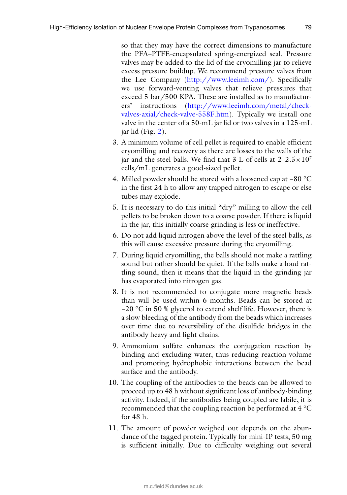so that they may have the correct dimensions to manufacture the PFA–PTFE-encapsulated spring-energized seal. Pressure valves may be added to the lid of the cryomilling jar to relieve excess pressure buildup. We recommend pressure valves from the Lee Company (http://www.leeimh.com/). Specifically we use forward-venting valves that relieve pressures that exceed 5 bar/500 KPA. These are installed as to manufacturers' instructions ( http://www.leeimh.com/metal/checkvalves-axial/check-valve-558F.htm). Typically we install one valve in the center of a 50-mL jar lid or two valves in a 125-mL jar lid (Fig. 2).

- 3. A minimum volume of cell pellet is required to enable efficient cryomillingand recovery as there are losses to the walls of the jar and the steel balls. We find that 3 L of cells at  $2-2.5 \times 10^7$ cells/mL generates a good-sized pellet.
- 4. Milled powder should be stored with a loosened cap at −80 °C in the first 24 h to allow any trapped nitrogen to escape or else tubes may explode.
- 5. It is necessary to do this initial "dry" milling to allow the cell pellets to be broken down to a coarse powder. If there is liquid in the jar, this initially coarse grinding is less or ineffective.
- 6. Do not add liquid nitrogen above the level of the steel balls, as this will cause excessive pressure during the cryomilling .
- 7. During liquid cryomilling, the balls should not make a rattling sound but rather should be quiet. If the balls make a loud rattling sound, then it means that the liquid in the grinding jar has evaporated into nitrogen gas.
- 8. It is not recommended to conjugate more magnetic beads than will be used within 6 months. Beads can be stored at −20 °C in 50 % glycerol to extend shelf life. However, there is a slow bleeding of the antibody from the beads which increases over time due to reversibility of the disulfide bridges in the antibody heavy and light chains.
- 9. Ammonium sulfate enhances the conjugation reaction by binding and excluding water, thus reducing reaction volume and promoting hydrophobic interactions between the bead surface and the antibody.
- 10. The coupling of the antibodies to the beads can be allowed to proceed up to 48 h without significant loss of antibody-binding activity. Indeed, if the antibodies being coupled are labile, it is recommended that the coupling reaction be performed at 4 °C for 48 h.
- 11. The amount of powder weighed out depends on the abundance of the tagged protein. Typically for mini-IP tests, 50 mg is sufficient initially. Due to difficulty weighing out several